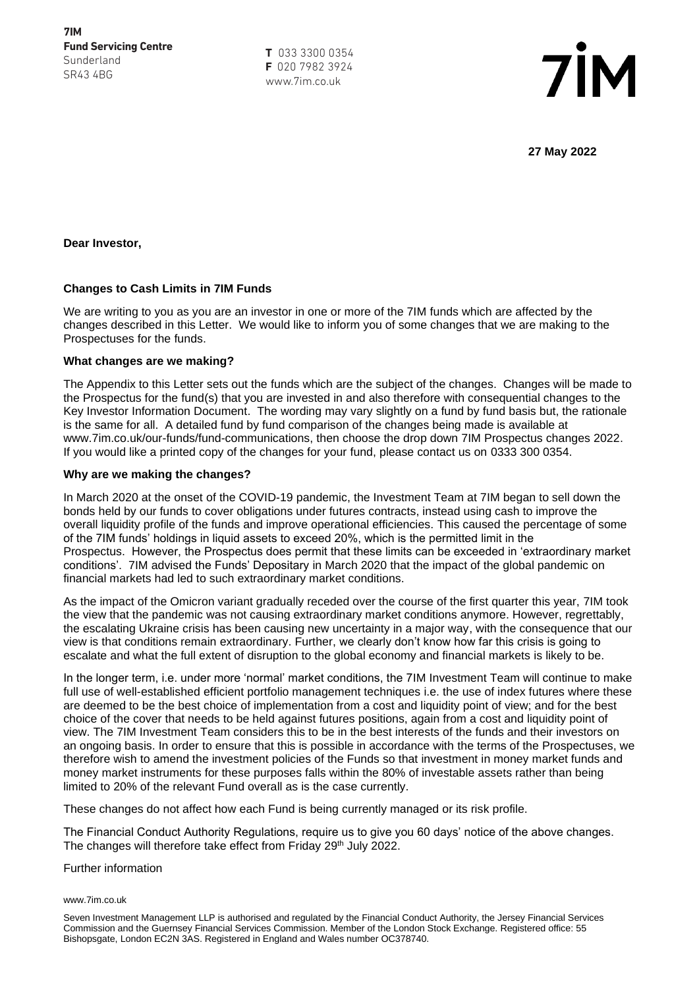**T** 033 3300 0354 **F** 020 7982 3924 www.7im.co.uk



**27 May 2022**

**Dear Investor,** 

## **Changes to Cash Limits in 7IM Funds**

We are writing to you as you are an investor in one or more of the 7IM funds which are affected by the changes described in this Letter. We would like to inform you of some changes that we are making to the Prospectuses for the funds.

## **What changes are we making?**

The Appendix to this Letter sets out the funds which are the subject of the changes. Changes will be made to the Prospectus for the fund(s) that you are invested in and also therefore with consequential changes to the Key Investor Information Document. The wording may vary slightly on a fund by fund basis but, the rationale is the same for all. A detailed fund by fund comparison of the changes being made is available at www.7im.co.uk/our-funds/fund-communications, then choose the drop down 7IM Prospectus changes 2022. If you would like a printed copy of the changes for your fund, please contact us on 0333 300 0354.

## **Why are we making the changes?**

In March 2020 at the onset of the COVID-19 pandemic, the Investment Team at 7IM began to sell down the bonds held by our funds to cover obligations under futures contracts, instead using cash to improve the overall liquidity profile of the funds and improve operational efficiencies. This caused the percentage of some of the 7IM funds' holdings in liquid assets to exceed 20%, which is the permitted limit in the Prospectus. However, the Prospectus does permit that these limits can be exceeded in 'extraordinary market conditions'. 7IM advised the Funds' Depositary in March 2020 that the impact of the global pandemic on financial markets had led to such extraordinary market conditions.

As the impact of the Omicron variant gradually receded over the course of the first quarter this year, 7IM took the view that the pandemic was not causing extraordinary market conditions anymore. However, regrettably, the escalating Ukraine crisis has been causing new uncertainty in a major way, with the consequence that our view is that conditions remain extraordinary. Further, we clearly don't know how far this crisis is going to escalate and what the full extent of disruption to the global economy and financial markets is likely to be.

In the longer term, i.e. under more 'normal' market conditions, the 7IM Investment Team will continue to make full use of well-established efficient portfolio management techniques i.e. the use of index futures where these are deemed to be the best choice of implementation from a cost and liquidity point of view; and for the best choice of the cover that needs to be held against futures positions, again from a cost and liquidity point of view. The 7IM Investment Team considers this to be in the best interests of the funds and their investors on an ongoing basis. In order to ensure that this is possible in accordance with the terms of the Prospectuses, we therefore wish to amend the investment policies of the Funds so that investment in money market funds and money market instruments for these purposes falls within the 80% of investable assets rather than being limited to 20% of the relevant Fund overall as is the case currently.

These changes do not affect how each Fund is being currently managed or its risk profile.

The Financial Conduct Authority Regulations, require us to give you 60 days' notice of the above changes. The changes will therefore take effect from Friday 29<sup>th</sup> July 2022.

## Further information

### www.7im.co.uk

Seven Investment Management LLP is authorised and regulated by the Financial Conduct Authority, the Jersey Financial Services Commission and the Guernsey Financial Services Commission. Member of the London Stock Exchange. Registered office: 55 Bishopsgate, London EC2N 3AS. Registered in England and Wales number OC378740.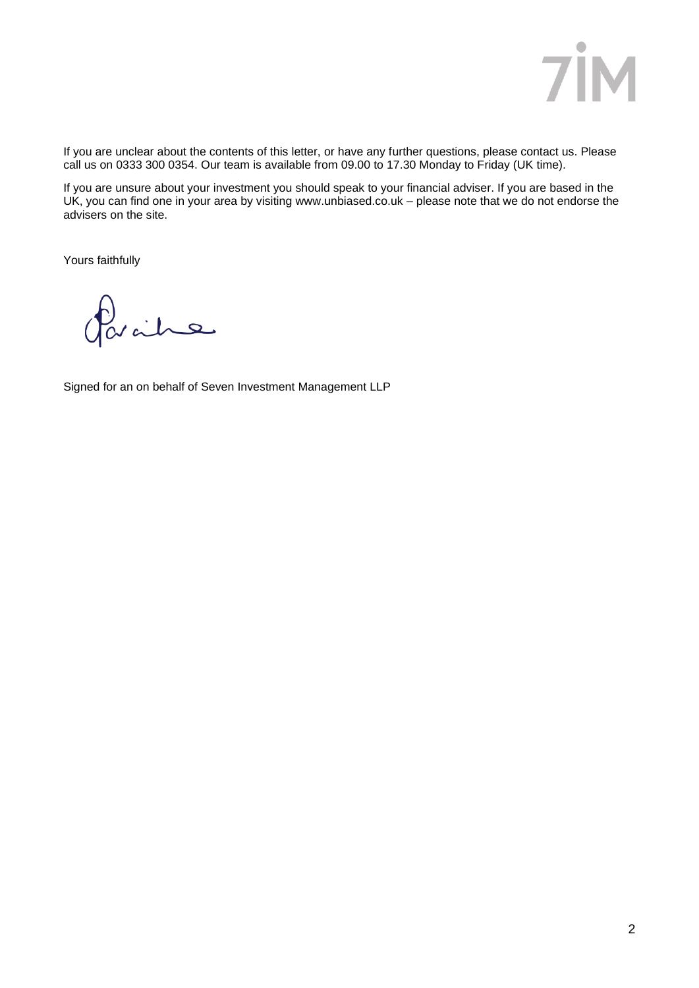

If you are unclear about the contents of this letter, or have any further questions, please contact us. Please call us on 0333 300 0354. Our team is available from 09.00 to 17.30 Monday to Friday (UK time).

If you are unsure about your investment you should speak to your financial adviser. If you are based in the UK, you can find one in your area by visiting [www.unbiased.co.uk](http://www.unbiased.co.uk/) – please note that we do not endorse the advisers on the site.

Yours faithfully

avaine

Signed for an on behalf of Seven Investment Management LLP